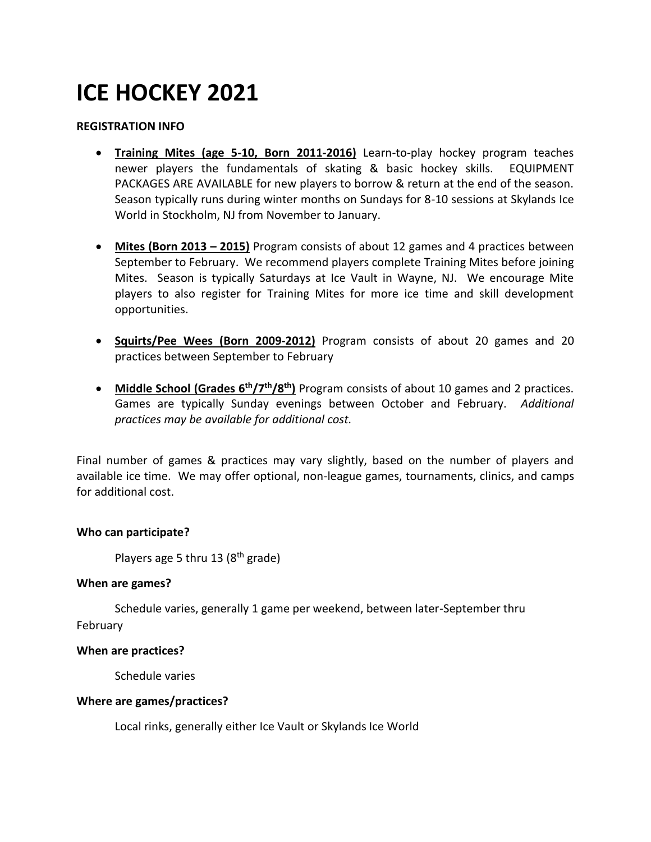# **ICE HOCKEY 2021**

#### **REGISTRATION INFO**

- **Training Mites (age 5-10, Born 2011-2016)** Learn-to-play hockey program teaches newer players the fundamentals of skating & basic hockey skills. EQUIPMENT PACKAGES ARE AVAILABLE for new players to borrow & return at the end of the season. Season typically runs during winter months on Sundays for 8-10 sessions at Skylands Ice World in Stockholm, NJ from November to January.
- **Mites (Born 2013 – 2015)** Program consists of about 12 games and 4 practices between September to February. We recommend players complete Training Mites before joining Mites. Season is typically Saturdays at Ice Vault in Wayne, NJ. We encourage Mite players to also register for Training Mites for more ice time and skill development opportunities.
- **Squirts/Pee Wees (Born 2009-2012)** Program consists of about 20 games and 20 practices between September to February
- **Middle School (Grades 6th/7 th/8th)** Program consists of about 10 games and 2 practices. Games are typically Sunday evenings between October and February. *Additional practices may be available for additional cost.*

Final number of games & practices may vary slightly, based on the number of players and available ice time. We may offer optional, non-league games, tournaments, clinics, and camps for additional cost.

#### **Who can participate?**

Players age 5 thru 13 (8<sup>th</sup> grade)

#### **When are games?**

Schedule varies, generally 1 game per weekend, between later-September thru February

#### **When are practices?**

Schedule varies

#### **Where are games/practices?**

Local rinks, generally either Ice Vault or Skylands Ice World